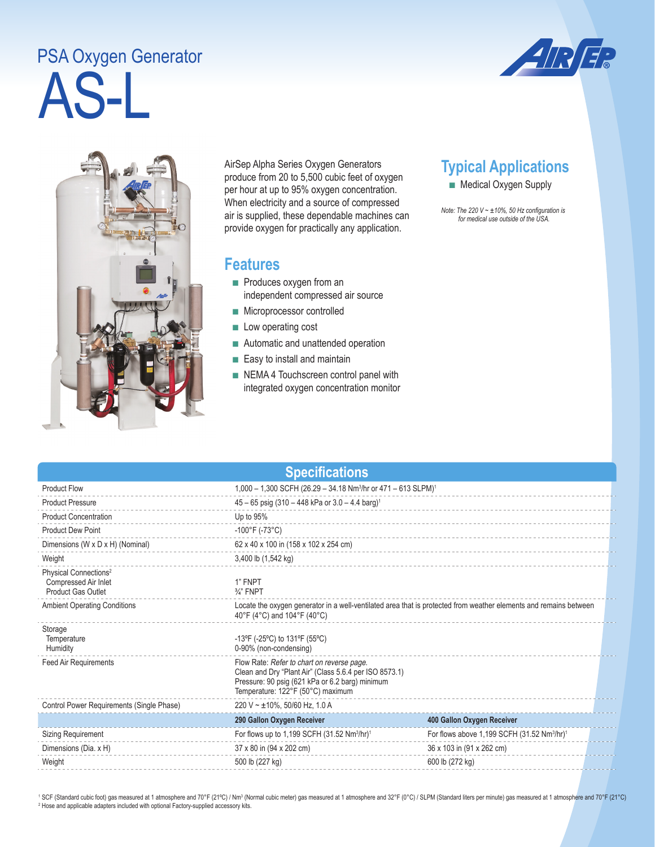## AS-L PSA Oxygen Generator





AirSep Alpha Series Oxygen Generators produce from 20 to 5,500 cubic feet of oxygen per hour at up to 95% oxygen concentration. When electricity and a source of compressed air is supplied, these dependable machines can provide oxygen for practically any application.

## **Features**

- Produces oxygen from an independent compressed air source
- Microprocessor controlled
- Low operating cost
- Automatic and unattended operation
- Easy to install and maintain
- NEMA 4 Touchscreen control panel with integrated oxygen concentration monitor

**Specifications**

## **Typical Applications**

■ Medical Oxygen Supply

*Note: The 220 V ~ ±10%, 50 Hz configuration is for medical use outside of the USA.* 

|                                                                                        | <u> Trominuminu</u>                                                                                                                                                                          |                                                                     |  |  |  |
|----------------------------------------------------------------------------------------|----------------------------------------------------------------------------------------------------------------------------------------------------------------------------------------------|---------------------------------------------------------------------|--|--|--|
| <b>Product Flow</b>                                                                    | 1,000 - 1,300 SCFH (26.29 - 34.18 Nm <sup>3</sup> /hr or 471 - 613 SLPM) <sup>1</sup>                                                                                                        |                                                                     |  |  |  |
| <b>Product Pressure</b>                                                                | 45 - 65 psig (310 - 448 kPa or 3.0 - 4.4 barg) <sup>1</sup>                                                                                                                                  |                                                                     |  |  |  |
| <b>Product Concentration</b>                                                           | Up to 95%                                                                                                                                                                                    |                                                                     |  |  |  |
| <b>Product Dew Point</b>                                                               | $-100^{\circ}$ F (-73°C)                                                                                                                                                                     |                                                                     |  |  |  |
| Dimensions (W x D x H) (Nominal)                                                       | 62 x 40 x 100 in (158 x 102 x 254 cm)                                                                                                                                                        |                                                                     |  |  |  |
| Weight                                                                                 | 3,400 lb (1,542 kg)                                                                                                                                                                          |                                                                     |  |  |  |
| Physical Connections <sup>2</sup><br>Compressed Air Inlet<br><b>Product Gas Outlet</b> | 1" FNPT<br>$\frac{3}{4}$ " FNPT                                                                                                                                                              |                                                                     |  |  |  |
| <b>Ambient Operating Conditions</b>                                                    | Locate the oxygen generator in a well-ventilated area that is protected from weather elements and remains between<br>40°F (4°C) and 104°F (40°C)                                             |                                                                     |  |  |  |
| Storage<br>Temperature<br><b>Humidity</b>                                              | -13°F (-25°C) to 131°F (55°C)<br>0-90% (non-condensing)                                                                                                                                      |                                                                     |  |  |  |
| Feed Air Requirements                                                                  | Flow Rate: Refer to chart on reverse page.<br>Clean and Dry "Plant Air" (Class 5.6.4 per ISO 8573.1)<br>Pressure: 90 psig (621 kPa or 6.2 barg) minimum<br>Temperature: 122°F (50°C) maximum |                                                                     |  |  |  |
| Control Power Requirements (Single Phase)                                              | 220 V ~ ±10%, 50/60 Hz, 1.0 A                                                                                                                                                                |                                                                     |  |  |  |
|                                                                                        | 290 Gallon Oxygen Receiver                                                                                                                                                                   | 400 Gallon Oxygen Receiver                                          |  |  |  |
| <b>Sizing Requirement</b>                                                              | For flows up to 1,199 SCFH (31.52 Nm <sup>3</sup> /hr) <sup>1</sup>                                                                                                                          | For flows above 1,199 SCFH (31.52 Nm <sup>3</sup> /hr) <sup>1</sup> |  |  |  |
| Dimensions (Dia. x H)                                                                  | 37 x 80 in (94 x 202 cm)                                                                                                                                                                     | 36 x 103 in (91 x 262 cm)                                           |  |  |  |
| Weight                                                                                 | 500 lb (227 kg)                                                                                                                                                                              | 600 lb (272 kg)                                                     |  |  |  |
|                                                                                        |                                                                                                                                                                                              |                                                                     |  |  |  |

<sup>1</sup> SCF (Standard cubic foot) gas measured at 1 atmosphere and 70°F (21°C) / Nm<sup>3</sup> (Normal cubic meter) gas measured at 1 atmosphere and 32°F (0°C) / SLPM (Standard liters per minute) gas measured at 1 atmosphere and 70°F <sup>2</sup> Hose and applicable adapters included with optional Factory-supplied accessory kits.